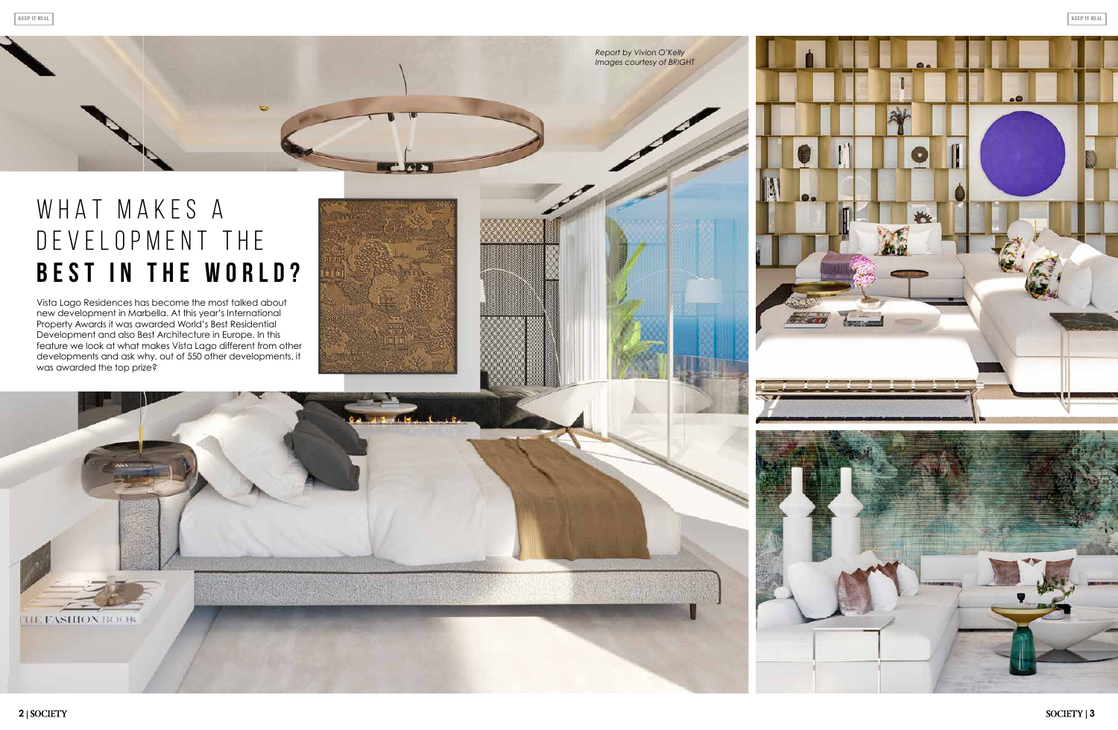# WHAT MAKES A DEVELOPMENT THE **BEST IN THE WORLD?**

Vista Lago Residences has become the most talked about new development in Marbella. At this year's International Property Awards it was awarded World's Best Residential Development and also Best Architecture in Europe. In this feature we look at what makes Vista Lago different from other developments and ask why, out of 550 other developments, it was awarded the top prize?

**THE FASHION BOOK** 



*Report by Vivion O'Kelly Images courtesy of BRIGHT*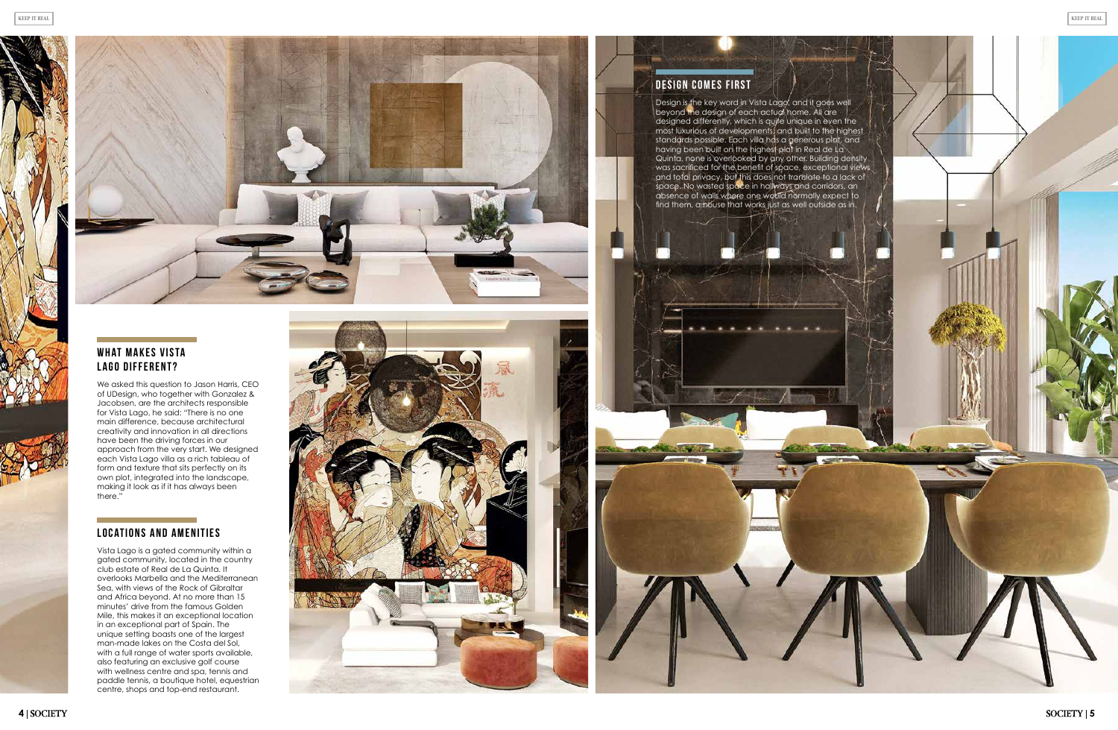### **WHAT MAKES VISTA Lago different?**



We asked this question to Jason Harris, CEO of UDesign, who together with Gonzalez & Jacobsen, are the architects responsible for Vista Lago, he said: "There is no one main difference, because architectural creativity and innovation in all directions have been the driving forces in our approach from the very start. We designed each Vista Lago villa as a rich tableau of form and texture that sits perfectly on its own plot, integrated into the landscape, making it look as if it has always been there."

### **Locations and amenities**

Vista Lago is a gated community within a gated community, located in the country club estate of Real de La Quinta. It overlooks Marbella and the Mediterranean Sea, with views of the Rock of Gibraltar and Africa beyond. At no more than 15 minutes' drive from the famous Golden Mile, this makes it an exceptional location in an exceptional part of Spain. The unique setting boasts one of the largest man-made lakes on the Costa del Sol, with a full range of water sports available, also featuring an exclusive golf course with wellness centre and spa, tennis and paddle tennis, a boutique hotel, equestrian centre, shops and top-end restaurant.



### **Design comes first**

Design is the key word in Vista Lago, and it goes well beyond the design of each actual home. All are designed differently, which is quite unique in even the most luxurious of developments, and built to the highest standards possible. Each villa has a generous plot, and having been built on the highest plot in Real de La Quinta, none is overlooked by any other. Building density was sacrificed for the benefit of space, exceptional views and total privacy, but this does not translate to a lack of space. No wasted space in hallways and corridors, an absence of walls where one would normally expect to find them, a house that works just as well outside as in.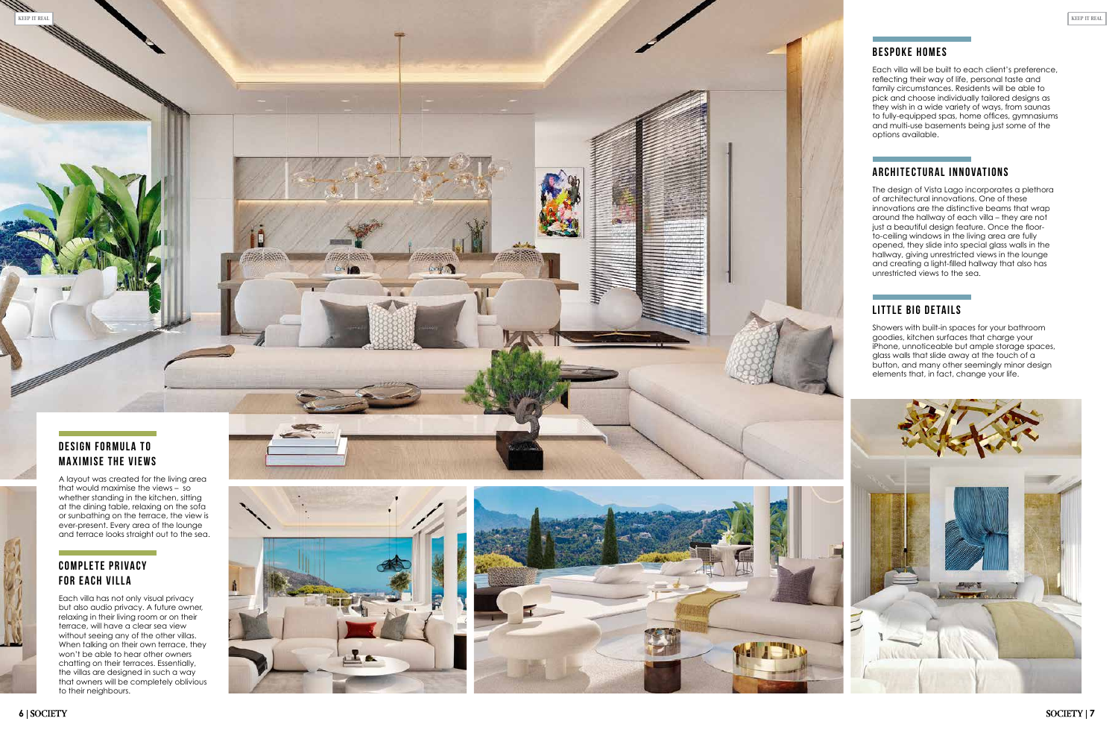# *KEEP IT REAL KEEP IT REAL*

### **Bespoke homes**

Each villa will be built to each client's preference, reflecting their way of life, personal taste and family circumstances. Residents will be able to pick and choose individually tailored designs as they wish in a wide variety of ways, from saunas to fully-equipped spas, home offices, gymnasiums and multi-use basements being just some of the options available.

### **Architectural innovations**

The design of Vista Lago incorporates a plethora of architectural innovations. One of these innovations are the distinctive beams that wrap around the hallway of each villa – they are not just a beautiful design feature. Once the floorto-ceiling windows in the living area are fully opened, they slide into special glass walls in the hallway, giving unrestricted views in the lounge and creating a light-filled hallway that also has unrestricted views to the sea.

### **COMPLETE PRIVACY for each villa**

### **Little big details**

Showers with built-in spaces for your bathroom goodies, kitchen surfaces that charge your iPhone, unnoticeable but ample storage spaces, glass walls that slide away at the touch of a button, and many other seemingly minor design elements that, in fact, change your life.





A layout was created for the living area that would maximise the views – so whether standing in the kitchen, sitting at the dining table, relaxing on the sofa or sunbathing on the terrace, the view is ever-present. Every area of the lounge and terrace looks straight out to the sea.

Each villa has not only visual privacy but also audio privacy. A future owner, relaxing in their living room or on their terrace, will have a clear sea view without seeing any of the other villas. When talking on their own terrace, they won't be able to hear other owners chatting on their terraces. Essentially, the villas are designed in such a way that owners will be completely oblivious to their neighbours.



ary 1